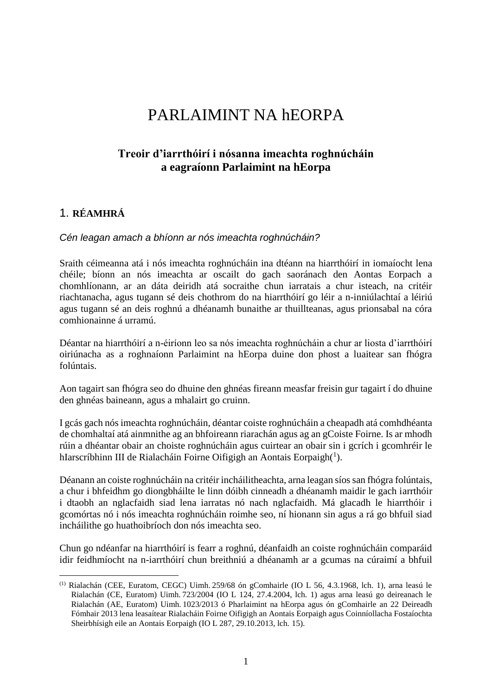# PARLAIMINT NA hEORPA

# **Treoir d'iarrthóirí i nósanna imeachta roghnúcháin a eagraíonn Parlaimint na hEorpa**

### 1. **RÉAMHRÁ**

1

#### *Cén leagan amach a bhíonn ar nós imeachta roghnúcháin?*

Sraith céimeanna atá i nós imeachta roghnúcháin ina dtéann na hiarrthóirí in iomaíocht lena chéile; bíonn an nós imeachta ar oscailt do gach saoránach den Aontas Eorpach a chomhlíonann, ar an dáta deiridh atá socraithe chun iarratais a chur isteach, na critéir riachtanacha, agus tugann sé deis chothrom do na hiarrthóirí go léir a n-inniúlachtaí a léiriú agus tugann sé an deis roghnú a dhéanamh bunaithe ar thuillteanas, agus prionsabal na córa comhionainne á urramú.

Déantar na hiarrthóirí a n-éiríonn leo sa nós imeachta roghnúcháin a chur ar liosta d'iarrthóirí oiriúnacha as a roghnaíonn Parlaimint na hEorpa duine don phost a luaitear san fhógra folúntais.

Aon tagairt san fhógra seo do dhuine den ghnéas fireann measfar freisin gur tagairt í do dhuine den ghnéas baineann, agus a mhalairt go cruinn.

I gcás gach nós imeachta roghnúcháin, déantar coiste roghnúcháin a cheapadh atá comhdhéanta de chomhaltaí atá ainmnithe ag an bhfoireann riarachán agus ag an gCoiste Foirne. Is ar mhodh rúin a dhéantar obair an choiste roghnúcháin agus cuirtear an obair sin i gcrích i gcomhréir le hIarscríbhinn III de Rialacháin Foirne Oifigigh an Aontais Eorpaigh $(^1)$ .

Déanann an coiste roghnúcháin na critéir incháilitheachta, arna leagan síos san fhógra folúntais, a chur i bhfeidhm go diongbháilte le linn dóibh cinneadh a dhéanamh maidir le gach iarrthóir i dtaobh an nglacfaidh siad lena iarratas nó nach nglacfaidh. Má glacadh le hiarrthóir i gcomórtas nó i nós imeachta roghnúcháin roimhe seo, ní hionann sin agus a rá go bhfuil siad incháilithe go huathoibríoch don nós imeachta seo.

Chun go ndéanfar na hiarrthóirí is fearr a roghnú, déanfaidh an coiste roghnúcháin comparáid idir feidhmíocht na n-iarrthóirí chun breithniú a dhéanamh ar a gcumas na cúraimí a bhfuil

<sup>(1)</sup> Rialachán (CEE, Euratom, CEGC) Uimh. 259/68 ón gComhairle (IO L 56, 4.3.1968, lch. 1), arna leasú le Rialachán (CE, Euratom) Uimh. 723/2004 (IO L 124, 27.4.2004, lch. 1) agus arna leasú go deireanach le Rialachán (AE, Euratom) Uimh. 1023/2013 ó Pharlaimint na hEorpa agus ón gComhairle an 22 Deireadh Fómhair 2013 lena leasaítear Rialacháin Foirne Oifigigh an Aontais Eorpaigh agus Coinníollacha Fostaíochta Sheirbhísigh eile an Aontais Eorpaigh (IO L 287, 29.10.2013, lch. 15).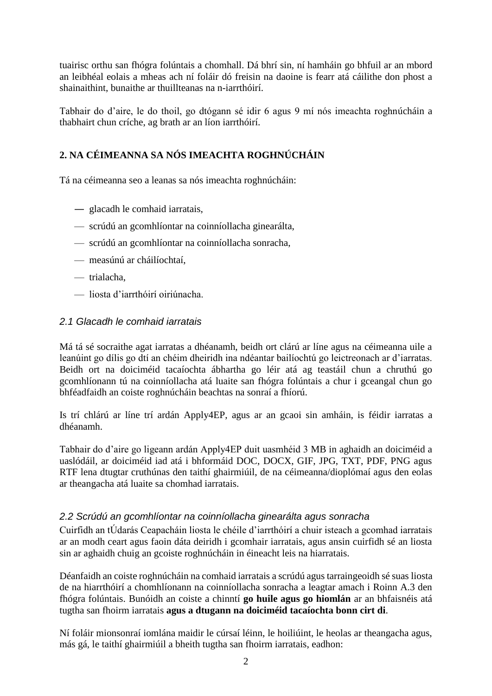tuairisc orthu san fhógra folúntais a chomhall. Dá bhrí sin, ní hamháin go bhfuil ar an mbord an leibhéal eolais a mheas ach ní foláir dó freisin na daoine is fearr atá cáilithe don phost a shainaithint, bunaithe ar thuillteanas na n-iarrthóirí.

Tabhair do d'aire, le do thoil, go dtógann sé idir 6 agus 9 mí nós imeachta roghnúcháin a thabhairt chun críche, ag brath ar an líon iarrthóirí.

# **2. NA CÉIMEANNA SA NÓS IMEACHTA ROGHNÚCHÁIN**

Tá na céimeanna seo a leanas sa nós imeachta roghnúcháin:

- ― glacadh le comhaid iarratais,
- scrúdú an gcomhlíontar na coinníollacha ginearálta,
- scrúdú an gcomhlíontar na coinníollacha sonracha,
- measúnú ar cháilíochtaí,
- trialacha,
- liosta d'iarrthóirí oiriúnacha.

#### *2.1 Glacadh le comhaid iarratais*

Má tá sé socraithe agat iarratas a dhéanamh, beidh ort clárú ar líne agus na céimeanna uile a leanúint go dílis go dtí an chéim dheiridh ina ndéantar bailíochtú go leictreonach ar d'iarratas. Beidh ort na doiciméid tacaíochta ábhartha go léir atá ag teastáil chun a chruthú go gcomhlíonann tú na coinníollacha atá luaite san fhógra folúntais a chur i gceangal chun go bhféadfaidh an coiste roghnúcháin beachtas na sonraí a fhíorú.

Is trí chlárú ar líne trí ardán Apply4EP, agus ar an gcaoi sin amháin, is féidir iarratas a dhéanamh.

Tabhair do d'aire go ligeann ardán Apply4EP duit uasmhéid 3 MB in aghaidh an doiciméid a uaslódáil, ar doiciméid iad atá i bhformáid DOC, DOCX, GIF, JPG, TXT, PDF, PNG agus RTF lena dtugtar cruthúnas den taithí ghairmiúil, de na céimeanna/dioplómaí agus den eolas ar theangacha atá luaite sa chomhad iarratais.

#### *2.2 Scrúdú an gcomhlíontar na coinníollacha ginearálta agus sonracha*

Cuirfidh an tÚdarás Ceapacháin liosta le chéile d'iarrthóirí a chuir isteach a gcomhad iarratais ar an modh ceart agus faoin dáta deiridh i gcomhair iarratais, agus ansin cuirfidh sé an liosta sin ar aghaidh chuig an gcoiste roghnúcháin in éineacht leis na hiarratais.

Déanfaidh an coiste roghnúcháin na comhaid iarratais a scrúdú agus tarraingeoidh sé suas liosta de na hiarrthóirí a chomhlíonann na coinníollacha sonracha a leagtar amach i Roinn A.3 den fhógra folúntais. Bunóidh an coiste a chinntí **go huile agus go hiomlán** ar an bhfaisnéis atá tugtha san fhoirm iarratais **agus a dtugann na doiciméid tacaíochta bonn cirt di**.

Ní foláir mionsonraí iomlána maidir le cúrsaí léinn, le hoiliúint, le heolas ar theangacha agus, más gá, le taithí ghairmiúil a bheith tugtha san fhoirm iarratais, eadhon: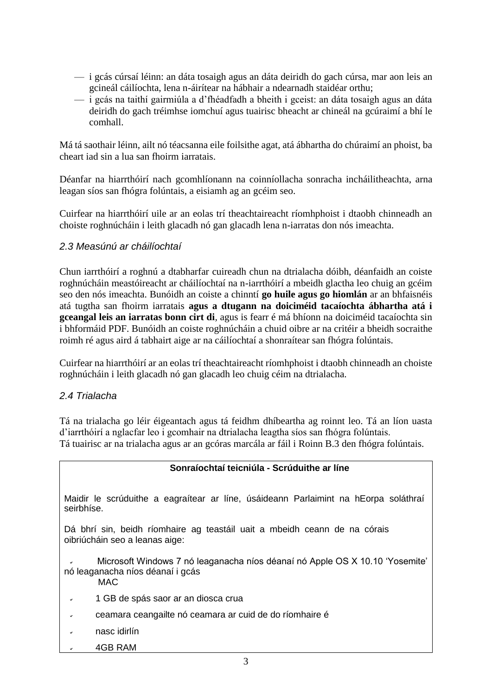- i gcás cúrsaí léinn: an dáta tosaigh agus an dáta deiridh do gach cúrsa, mar aon leis an gcineál cáilíochta, lena n-áirítear na hábhair a ndearnadh staidéar orthu;
- i gcás na taithí gairmiúla a d'fhéadfadh a bheith i gceist: an dáta tosaigh agus an dáta deiridh do gach tréimhse iomchuí agus tuairisc bheacht ar chineál na gcúraimí a bhí le comhall.

Má tá saothair léinn, ailt nó téacsanna eile foilsithe agat, atá ábhartha do chúraimí an phoist, ba cheart iad sin a lua san fhoirm iarratais.

Déanfar na hiarrthóirí nach gcomhlíonann na coinníollacha sonracha incháilitheachta, arna leagan síos san fhógra folúntais, a eisiamh ag an gcéim seo.

Cuirfear na hiarrthóirí uile ar an eolas trí theachtaireacht ríomhphoist i dtaobh chinneadh an choiste roghnúcháin i leith glacadh nó gan glacadh lena n-iarratas don nós imeachta.

### *2.3 Measúnú ar cháilíochtaí*

Chun iarrthóirí a roghnú a dtabharfar cuireadh chun na dtrialacha dóibh, déanfaidh an coiste roghnúcháin meastóireacht ar cháilíochtaí na n-iarrthóirí a mbeidh glactha leo chuig an gcéim seo den nós imeachta. Bunóidh an coiste a chinntí **go huile agus go hiomlán** ar an bhfaisnéis atá tugtha san fhoirm iarratais **agus a dtugann na doiciméid tacaíochta ábhartha atá i gceangal leis an iarratas bonn cirt di***,* agus is fearr é má bhíonn na doiciméid tacaíochta sin i bhformáid PDF. Bunóidh an coiste roghnúcháin a chuid oibre ar na critéir a bheidh socraithe roimh ré agus aird á tabhairt aige ar na cáilíochtaí a shonraítear san fhógra folúntais.

Cuirfear na hiarrthóirí ar an eolas trí theachtaireacht ríomhphoist i dtaobh chinneadh an choiste roghnúcháin i leith glacadh nó gan glacadh leo chuig céim na dtrialacha.

#### *2.4 Trialacha*

Tá na trialacha go léir éigeantach agus tá feidhm dhíbeartha ag roinnt leo. Tá an líon uasta d'iarrthóirí a nglacfar leo i gcomhair na dtrialacha leagtha síos san fhógra folúntais. Tá tuairisc ar na trialacha agus ar an gcóras marcála ar fáil i Roinn B.3 den fhógra folúntais.

# **Sonraíochtaí teicniúla - Scrúduithe ar líne**

Maidir le scrúduithe a eagraítear ar líne, úsáideann Parlaimint na hEorpa soláthraí seirbhíse.

Dá bhrí sin, beidh ríomhaire ag teastáil uait a mbeidh ceann de na córais oibriúcháin seo a leanas aige:

 Microsoft Windows 7 nó leaganacha níos déanaí nó Apple OS X 10.10 'Yosemite' nó leaganacha níos déanaí i gcás MAC

- 1 GB de spás saor ar an diosca crua
- ceamara ceangailte nó ceamara ar cuid de do ríomhaire é
- nasc idirlín
- 4GB RAM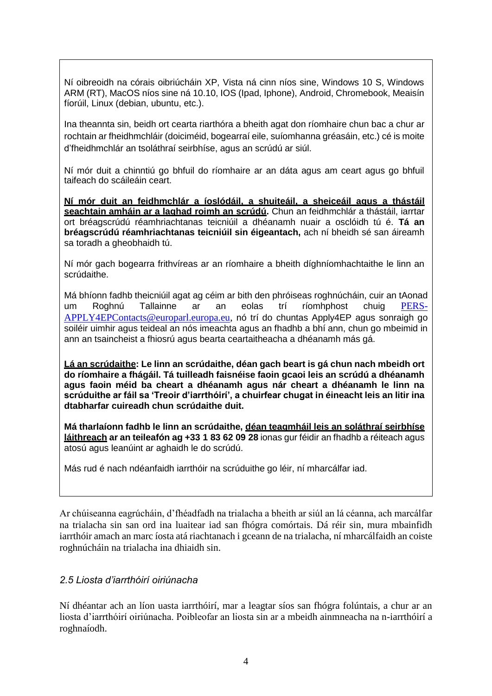Ní oibreoidh na córais oibriúcháin XP, Vista ná cinn níos sine, Windows 10 S, Windows ARM (RT), MacOS níos sine ná 10.10, IOS (Ipad, Iphone), Android, Chromebook, Meaisín fíorúil, Linux (debian, ubuntu, etc.).

Ina theannta sin, beidh ort cearta riarthóra a bheith agat don ríomhaire chun bac a chur ar rochtain ar fheidhmchláir (doiciméid, bogearraí eile, suíomhanna gréasáin, etc.) cé is moite d'fheidhmchlár an tsoláthraí seirbhíse, agus an scrúdú ar siúl.

Ní mór duit a chinntiú go bhfuil do ríomhaire ar an dáta agus am ceart agus go bhfuil taifeach do scáileáin ceart.

**Ní mór duit an feidhmchlár a íoslódáil, a shuiteáil, a sheiceáil agus a thástáil seachtain amháin ar a laghad roimh an scrúdú.** Chun an feidhmchlár a thástáil, iarrtar ort bréagscrúdú réamhriachtanas teicniúil a dhéanamh nuair a osclóidh tú é. **Tá an bréagscrúdú réamhriachtanas teicniúil sin éigeantach,** ach ní bheidh sé san áireamh sa toradh a gheobhaidh tú.

Ní mór gach bogearra frithvíreas ar an ríomhaire a bheith díghníomhachtaithe le linn an scrúdaithe.

Má bhíonn fadhb theicniúil agat ag céim ar bith den phróiseas roghnúcháin, cuir an tAonad um Roghnú Tallainne ar an eolas trí ríomhphost chuig [PERS-](mailto:PERS-APPLY4EPContacts@europarl.europa.eu)[APPLY4EPContacts@europarl.europa.eu,](mailto:PERS-APPLY4EPContacts@europarl.europa.eu) nó trí do chuntas Apply4EP agus sonraigh go soiléir uimhir agus teideal an nós imeachta agus an fhadhb a bhí ann, chun go mbeimid in ann an tsaincheist a fhiosrú agus bearta ceartaitheacha a dhéanamh más gá.

**Lá an scrúdaithe: Le linn an scrúdaithe, déan gach beart is gá chun nach mbeidh ort do ríomhaire a fhágáil. Tá tuilleadh faisnéise faoin gcaoi leis an scrúdú a dhéanamh agus faoin méid ba cheart a dhéanamh agus nár cheart a dhéanamh le linn na scrúduithe ar fáil sa 'Treoir d'iarrthóirí', a chuirfear chugat in éineacht leis an litir ina dtabharfar cuireadh chun scrúdaithe duit.**

**Má tharlaíonn fadhb le linn an scrúdaithe, déan teagmháil leis an soláthraí seirbhíse láithreach ar an teileafón ag +33 1 83 62 09 28** ionas gur féidir an fhadhb a réiteach agus atosú agus leanúint ar aghaidh le do scrúdú.

Más rud é nach ndéanfaidh iarrthóir na scrúduithe go léir, ní mharcálfar iad.

Ar chúiseanna eagrúcháin, d'fhéadfadh na trialacha a bheith ar siúl an lá céanna, ach marcálfar na trialacha sin san ord ina luaitear iad san fhógra comórtais. Dá réir sin, mura mbainfidh iarrthóir amach an marc íosta atá riachtanach i gceann de na trialacha, ní mharcálfaidh an coiste roghnúcháin na trialacha ina dhiaidh sin.

#### *2.5 Liosta d'iarrthóirí oiriúnacha*

Ní dhéantar ach an líon uasta iarrthóirí, mar a leagtar síos san fhógra folúntais, a chur ar an liosta d'iarrthóirí oiriúnacha. Poibleofar an liosta sin ar a mbeidh ainmneacha na n-iarrthóirí a roghnaíodh.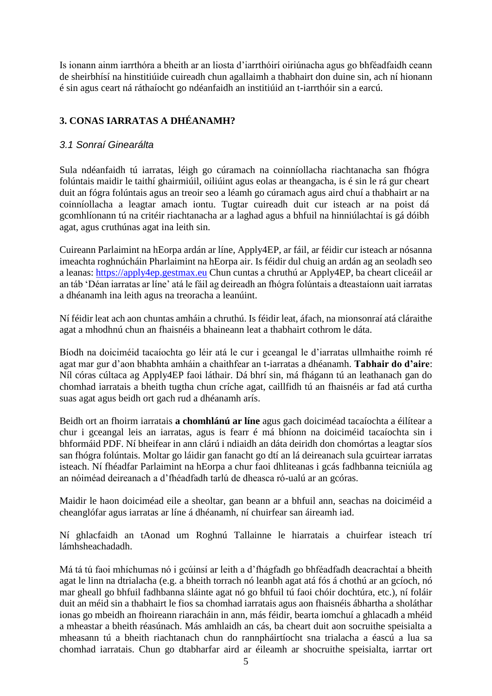Is ionann ainm iarrthóra a bheith ar an liosta d'iarrthóirí oiriúnacha agus go bhféadfaidh ceann de sheirbhísí na hinstitiúide cuireadh chun agallaimh a thabhairt don duine sin, ach ní hionann é sin agus ceart ná ráthaíocht go ndéanfaidh an institiúid an t-iarrthóir sin a earcú.

# **3. CONAS IARRATAS A DHÉANAMH?**

#### *3.1 Sonraí Ginearálta*

Sula ndéanfaidh tú iarratas, léigh go cúramach na coinníollacha riachtanacha san fhógra folúntais maidir le taithí ghairmiúil, oiliúint agus eolas ar theangacha, is é sin le rá gur cheart duit an fógra folúntais agus an treoir seo a léamh go cúramach agus aird chuí a thabhairt ar na coinníollacha a leagtar amach iontu. Tugtar cuireadh duit cur isteach ar na poist dá gcomhlíonann tú na critéir riachtanacha ar a laghad agus a bhfuil na hinniúlachtaí is gá dóibh agat, agus cruthúnas agat ina leith sin.

Cuireann Parlaimint na hEorpa ardán ar líne, Apply4EP, ar fáil, ar féidir cur isteach ar nósanna imeachta roghnúcháin Pharlaimint na hEorpa air. Is féidir dul chuig an ardán ag an seoladh seo a leanas: [https://apply4ep.gestmax.eu](https://apply4ep.gestmax.eu/) Chun cuntas a chruthú ar Apply4EP, ba cheart cliceáil ar an táb 'Déan iarratas ar líne' atá le fáil ag deireadh an fhógra folúntais a dteastaíonn uait iarratas a dhéanamh ina leith agus na treoracha a leanúint.

Ní féidir leat ach aon chuntas amháin a chruthú. Is féidir leat, áfach, na mionsonraí atá cláraithe agat a mhodhnú chun an fhaisnéis a bhaineann leat a thabhairt cothrom le dáta.

Bíodh na doiciméid tacaíochta go léir atá le cur i gceangal le d'iarratas ullmhaithe roimh ré agat mar gur d'aon bhabhta amháin a chaithfear an t-iarratas a dhéanamh. **Tabhair do d'aire**: Níl córas cúltaca ag Apply4EP faoi láthair. Dá bhrí sin, má fhágann tú an leathanach gan do chomhad iarratais a bheith tugtha chun críche agat, caillfidh tú an fhaisnéis ar fad atá curtha suas agat agus beidh ort gach rud a dhéanamh arís.

Beidh ort an fhoirm iarratais **a chomhlánú ar líne** agus gach doiciméad tacaíochta a éilítear a chur i gceangal leis an iarratas, agus is fearr é má bhíonn na doiciméid tacaíochta sin i bhformáid PDF. Ní bheifear in ann clárú i ndiaidh an dáta deiridh don chomórtas a leagtar síos san fhógra folúntais. Moltar go láidir gan fanacht go dtí an lá deireanach sula gcuirtear iarratas isteach. Ní fhéadfar Parlaimint na hEorpa a chur faoi dhliteanas i gcás fadhbanna teicniúla ag an nóiméad deireanach a d'fhéadfadh tarlú de dheasca ró-ualú ar an gcóras.

Maidir le haon doiciméad eile a sheoltar, gan beann ar a bhfuil ann, seachas na doiciméid a cheanglófar agus iarratas ar líne á dhéanamh, ní chuirfear san áireamh iad.

Ní ghlacfaidh an tAonad um Roghnú Tallainne le hiarratais a chuirfear isteach trí lámhsheachadadh.

Má tá tú faoi mhíchumas nó i gcúinsí ar leith a d'fhágfadh go bhféadfadh deacrachtaí a bheith agat le linn na dtrialacha (e.g. a bheith torrach nó leanbh agat atá fós á chothú ar an gcíoch, nó mar gheall go bhfuil fadhbanna sláinte agat nó go bhfuil tú faoi chóir dochtúra, etc.), ní foláir duit an méid sin a thabhairt le fios sa chomhad iarratais agus aon fhaisnéis ábhartha a sholáthar ionas go mbeidh an fhoireann riaracháin in ann, más féidir, bearta iomchuí a ghlacadh a mhéid a mheastar a bheith réasúnach. Más amhlaidh an cás, ba cheart duit aon socruithe speisialta a mheasann tú a bheith riachtanach chun do rannpháirtíocht sna trialacha a éascú a lua sa chomhad iarratais. Chun go dtabharfar aird ar éileamh ar shocruithe speisialta, iarrtar ort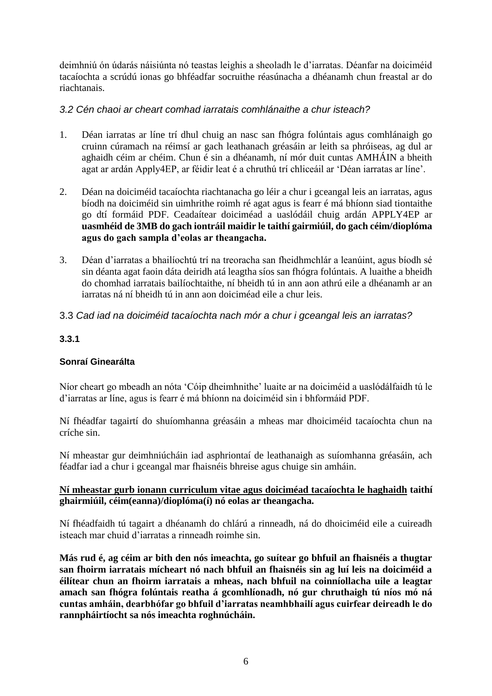deimhniú ón údarás náisiúnta nó teastas leighis a sheoladh le d'iarratas. Déanfar na doiciméid tacaíochta a scrúdú ionas go bhféadfar socruithe réasúnacha a dhéanamh chun freastal ar do riachtanais.

#### *3.2 Cén chaoi ar cheart comhad iarratais comhlánaithe a chur isteach?*

- 1. Déan iarratas ar líne trí dhul chuig an nasc san fhógra folúntais agus comhlánaigh go cruinn cúramach na réimsí ar gach leathanach gréasáin ar leith sa phróiseas, ag dul ar aghaidh céim ar chéim. Chun é sin a dhéanamh, ní mór duit cuntas AMHÁIN a bheith agat ar ardán Apply4EP, ar féidir leat é a chruthú trí chliceáil ar 'Déan iarratas ar líne'.
- 2. Déan na doiciméid tacaíochta riachtanacha go léir a chur i gceangal leis an iarratas, agus bíodh na doiciméid sin uimhrithe roimh ré agat agus is fearr é má bhíonn siad tiontaithe go dtí formáid PDF. Ceadaítear doiciméad a uaslódáil chuig ardán APPLY4EP ar **uasmhéid de 3MB do gach iontráil maidir le taithí gairmiúil, do gach céim/dioplóma agus do gach sampla d'eolas ar theangacha.**
- 3. Déan d'iarratas a bhailíochtú trí na treoracha san fheidhmchlár a leanúint, agus bíodh sé sin déanta agat faoin dáta deiridh atá leagtha síos san fhógra folúntais. A luaithe a bheidh do chomhad iarratais bailíochtaithe, ní bheidh tú in ann aon athrú eile a dhéanamh ar an iarratas ná ní bheidh tú in ann aon doiciméad eile a chur leis.
- 3.3 *Cad iad na doiciméid tacaíochta nach mór a chur i gceangal leis an iarratas?*

# **3.3.1**

# **Sonraí Ginearálta**

Níor cheart go mbeadh an nóta 'Cóip dheimhnithe' luaite ar na doiciméid a uaslódálfaidh tú le d'iarratas ar líne, agus is fearr é má bhíonn na doiciméid sin i bhformáid PDF.

Ní fhéadfar tagairtí do shuíomhanna gréasáin a mheas mar dhoiciméid tacaíochta chun na críche sin.

Ní mheastar gur deimhniúcháin iad asphriontaí de leathanaigh as suíomhanna gréasáin, ach féadfar iad a chur i gceangal mar fhaisnéis bhreise agus chuige sin amháin.

#### **Ní mheastar gurb ionann curriculum vitae agus doiciméad tacaíochta le haghaidh taithí ghairmiúil, céim(eanna)/dioplóma(í) nó eolas ar theangacha.**

Ní fhéadfaidh tú tagairt a dhéanamh do chlárú a rinneadh, ná do dhoiciméid eile a cuireadh isteach mar chuid d'iarratas a rinneadh roimhe sin.

**Más rud é, ag céim ar bith den nós imeachta, go suítear go bhfuil an fhaisnéis a thugtar san fhoirm iarratais mícheart nó nach bhfuil an fhaisnéis sin ag luí leis na doiciméid a éilítear chun an fhoirm iarratais a mheas, nach bhfuil na coinníollacha uile a leagtar amach san fhógra folúntais reatha á gcomhlíonadh, nó gur chruthaigh tú níos mó ná cuntas amháin, dearbhófar go bhfuil d'iarratas neamhbhailí agus cuirfear deireadh le do rannpháirtíocht sa nós imeachta roghnúcháin.**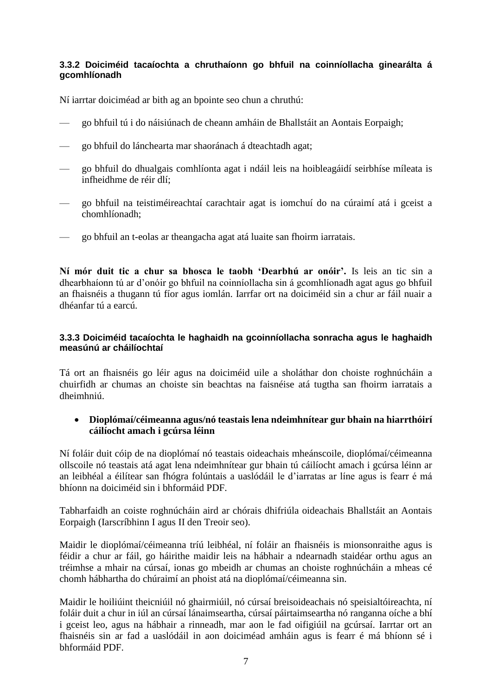#### **3.3.2 Doiciméid tacaíochta a chruthaíonn go bhfuil na coinníollacha ginearálta á gcomhlíonadh**

Ní iarrtar doiciméad ar bith ag an bpointe seo chun a chruthú:

- go bhfuil tú i do náisiúnach de cheann amháin de Bhallstáit an Aontais Eorpaigh;
- go bhfuil do lánchearta mar shaoránach á dteachtadh agat;
- go bhfuil do dhualgais comhlíonta agat i ndáil leis na hoibleagáidí seirbhíse míleata is infheidhme de réir dlí;
- go bhfuil na teistiméireachtaí carachtair agat is iomchuí do na cúraimí atá i gceist a chomhlíonadh;
- go bhfuil an t-eolas ar theangacha agat atá luaite san fhoirm iarratais.

**Ní mór duit tic a chur sa bhosca le taobh 'Dearbhú ar onóir'.** Is leis an tic sin a dhearbhaíonn tú ar d'onóir go bhfuil na coinníollacha sin á gcomhlíonadh agat agus go bhfuil an fhaisnéis a thugann tú fíor agus iomlán. Iarrfar ort na doiciméid sin a chur ar fáil nuair a dhéanfar tú a earcú.

#### **3.3.3 Doiciméid tacaíochta le haghaidh na gcoinníollacha sonracha agus le haghaidh measúnú ar cháilíochtaí**

Tá ort an fhaisnéis go léir agus na doiciméid uile a sholáthar don choiste roghnúcháin a chuirfidh ar chumas an choiste sin beachtas na faisnéise atá tugtha san fhoirm iarratais a dheimhniú.

#### **Dioplómaí/céimeanna agus/nó teastais lena ndeimhnítear gur bhain na hiarrthóirí cáilíocht amach i gcúrsa léinn**

Ní foláir duit cóip de na dioplómaí nó teastais oideachais mheánscoile, dioplómaí/céimeanna ollscoile nó teastais atá agat lena ndeimhnítear gur bhain tú cáilíocht amach i gcúrsa léinn ar an leibhéal a éilítear san fhógra folúntais a uaslódáil le d'iarratas ar líne agus is fearr é má bhíonn na doiciméid sin i bhformáid PDF.

Tabharfaidh an coiste roghnúcháin aird ar chórais dhifriúla oideachais Bhallstáit an Aontais Eorpaigh (Iarscríbhinn I agus II den Treoir seo).

Maidir le dioplómaí/céimeanna tríú leibhéal, ní foláir an fhaisnéis is mionsonraithe agus is féidir a chur ar fáil, go háirithe maidir leis na hábhair a ndearnadh staidéar orthu agus an tréimhse a mhair na cúrsaí, ionas go mbeidh ar chumas an choiste roghnúcháin a mheas cé chomh hábhartha do chúraimí an phoist atá na dioplómaí/céimeanna sin.

Maidir le hoiliúint theicniúil nó ghairmiúil, nó cúrsaí breisoideachais nó speisialtóireachta, ní foláir duit a chur in iúl an cúrsaí lánaimseartha, cúrsaí páirtaimseartha nó ranganna oíche a bhí i gceist leo, agus na hábhair a rinneadh, mar aon le fad oifigiúil na gcúrsaí. Iarrtar ort an fhaisnéis sin ar fad a uaslódáil in aon doiciméad amháin agus is fearr é má bhíonn sé i bhformáid PDF.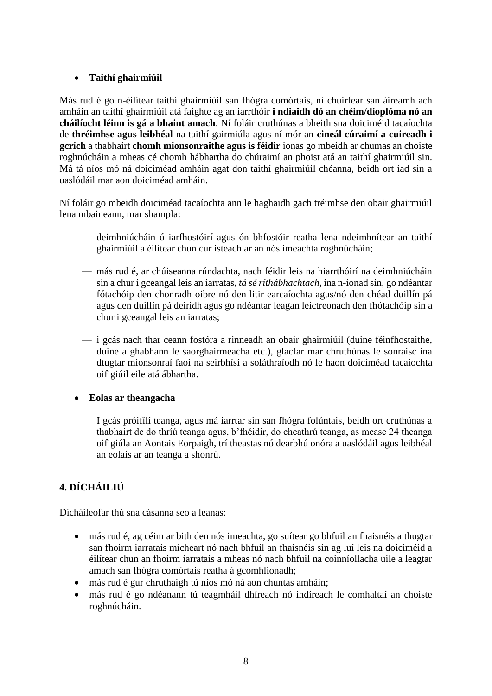### **Taithí ghairmiúil**

Más rud é go n-éilítear taithí ghairmiúil san fhógra comórtais, ní chuirfear san áireamh ach amháin an taithí ghairmiúil atá faighte ag an iarrthóir **i ndiaidh dó an chéim/dioplóma nó an cháilíocht léinn is gá a bhaint amach**. Ní foláir cruthúnas a bheith sna doiciméid tacaíochta de **thréimhse agus leibhéal** na taithí gairmiúla agus ní mór an **cineál cúraimí a cuireadh i gcrích** a thabhairt **chomh mionsonraithe agus is féidir** ionas go mbeidh ar chumas an choiste roghnúcháin a mheas cé chomh hábhartha do chúraimí an phoist atá an taithí ghairmiúil sin. Má tá níos mó ná doiciméad amháin agat don taithí ghairmiúil chéanna, beidh ort iad sin a uaslódáil mar aon doiciméad amháin.

Ní foláir go mbeidh doiciméad tacaíochta ann le haghaidh gach tréimhse den obair ghairmiúil lena mbaineann, mar shampla:

- deimhniúcháin ó iarfhostóirí agus ón bhfostóir reatha lena ndeimhnítear an taithí ghairmiúil a éilítear chun cur isteach ar an nós imeachta roghnúcháin;
- más rud é, ar chúiseanna rúndachta, nach féidir leis na hiarrthóirí na deimhniúcháin sin a chur i gceangal leis an iarratas, *tá sé ríthábhachtach*, ina n-ionad sin, go ndéantar fótachóip den chonradh oibre nó den litir earcaíochta agus/nó den chéad duillín pá agus den duillín pá deiridh agus go ndéantar leagan leictreonach den fhótachóip sin a chur i gceangal leis an iarratas;
- i gcás nach thar ceann fostóra a rinneadh an obair ghairmiúil (duine féinfhostaithe, duine a ghabhann le saorghairmeacha etc.), glacfar mar chruthúnas le sonraisc ina dtugtar mionsonraí faoi na seirbhísí a soláthraíodh nó le haon doiciméad tacaíochta oifigiúil eile atá ábhartha.

#### **Eolas ar theangacha**

I gcás próifílí teanga, agus má iarrtar sin san fhógra folúntais, beidh ort cruthúnas a thabhairt de do thríú teanga agus, b'fhéidir, do cheathrú teanga, as measc 24 theanga oifigiúla an Aontais Eorpaigh, trí theastas nó dearbhú onóra a uaslódáil agus leibhéal an eolais ar an teanga a shonrú.

# **4. DÍCHÁILIÚ**

Dícháileofar thú sna cásanna seo a leanas:

- más rud é, ag céim ar bith den nós imeachta, go suítear go bhfuil an fhaisnéis a thugtar san fhoirm iarratais mícheart nó nach bhfuil an fhaisnéis sin ag luí leis na doiciméid a éilítear chun an fhoirm iarratais a mheas nó nach bhfuil na coinníollacha uile a leagtar amach san fhógra comórtais reatha á gcomhlíonadh;
- más rud é gur chruthaigh tú níos mó ná aon chuntas amháin;
- más rud é go ndéanann tú teagmháil dhíreach nó indíreach le comhaltaí an choiste roghnúcháin.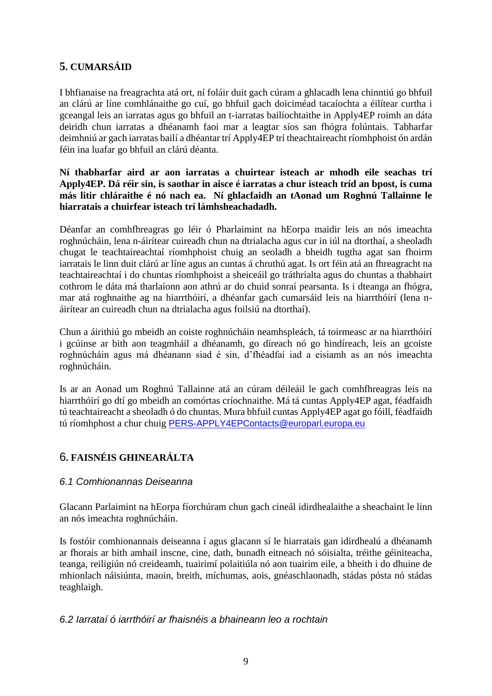# **5. CUMARSÁID**

I bhfianaise na freagrachta atá ort, ní foláir duit gach cúram a ghlacadh lena chinntiú go bhfuil an clárú ar líne comhlánaithe go cuí, go bhfuil gach doiciméad tacaíochta a éilítear curtha i gceangal leis an iarratas agus go bhfuil an t-iarratas bailíochtaithe in Apply4EP roimh an dáta deiridh chun iarratas a dhéanamh faoi mar a leagtar síos san fhógra folúntais. Tabharfar deimhniú ar gach iarratas bailí a dhéantar trí Apply4EP trí theachtaireacht ríomhphoist ón ardán féin ina luafar go bhfuil an clárú déanta.

#### **Ní thabharfar aird ar aon iarratas a chuirtear isteach ar mhodh eile seachas trí Apply4EP. Dá réir sin, is saothar in aisce é iarratas a chur isteach tríd an bpost, is cuma más litir chláraithe é nó nach ea. Ní ghlacfaidh an tAonad um Roghnú Tallainne le hiarratais a chuirfear isteach trí lámhsheachadadh.**

Déanfar an comhfhreagras go léir ó Pharlaimint na hEorpa maidir leis an nós imeachta roghnúcháin, lena n-áirítear cuireadh chun na dtrialacha agus cur in iúl na dtorthaí, a sheoladh chugat le teachtaireachtaí ríomhphoist chuig an seoladh a bheidh tugtha agat san fhoirm iarratais le linn duit clárú ar líne agus an cuntas á chruthú agat. Is ort féin atá an fhreagracht na teachtaireachtaí i do chuntas ríomhphoist a sheiceáil go tráthrialta agus do chuntas a thabhairt cothrom le dáta má tharlaíonn aon athrú ar do chuid sonraí pearsanta. Is i dteanga an fhógra, mar atá roghnaithe ag na hiarrthóirí, a dhéanfar gach cumarsáid leis na hiarrthóirí (lena náirítear an cuireadh chun na dtrialacha agus foilsiú na dtorthaí).

Chun a áirithiú go mbeidh an coiste roghnúcháin neamhspleách, tá toirmeasc ar na hiarrthóirí i gcúinse ar bith aon teagmháil a dhéanamh, go díreach nó go hindíreach, leis an gcoiste roghnúcháin agus má dhéanann siad é sin, d'fhéadfaí iad a eisiamh as an nós imeachta roghnúcháin.

Is ar an Aonad um Roghnú Tallainne atá an cúram déileáil le gach comhfhreagras leis na hiarrthóirí go dtí go mbeidh an comórtas críochnaithe. Má tá cuntas Apply4EP agat, féadfaidh tú teachtaireacht a sheoladh ó do chuntas. Mura bhfuil cuntas Apply4EP agat go fóill, féadfaidh tú ríomhphost a chur chuig [PERS-APPLY4EPContacts@europarl.europa.eu](mailto:PERS-APPLY4EPContacts@europarl.europa.eu)

# 6**. FAISNÉIS GHINEARÁLTA**

# *6.1 Comhionannas Deiseanna*

Glacann Parlaimint na hEorpa fíorchúram chun gach cineál idirdhealaithe a sheachaint le linn an nós imeachta roghnúcháin.

Is fostóir comhionannais deiseanna í agus glacann sí le hiarratais gan idirdhealú a dhéanamh ar fhorais ar bith amhail inscne, cine, dath, bunadh eitneach nó sóisialta, tréithe géiniteacha, teanga, reiligiún nó creideamh, tuairimí polaitiúla nó aon tuairim eile, a bheith i do dhuine de mhionlach náisiúnta, maoin, breith, míchumas, aois, gnéaschlaonadh, stádas pósta nó stádas teaghlaigh.

#### *6.2 Iarrataí ó iarrthóirí ar fhaisnéis a bhaineann leo a rochtain*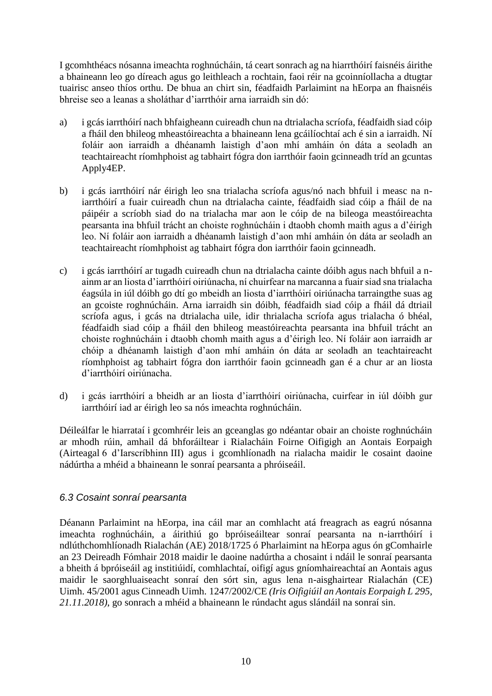I gcomhthéacs nósanna imeachta roghnúcháin, tá ceart sonrach ag na hiarrthóirí faisnéis áirithe a bhaineann leo go díreach agus go leithleach a rochtain, faoi réir na gcoinníollacha a dtugtar tuairisc anseo thíos orthu. De bhua an chirt sin, féadfaidh Parlaimint na hEorpa an fhaisnéis bhreise seo a leanas a sholáthar d'iarrthóir arna iarraidh sin dó:

- a) i gcás iarrthóirí nach bhfaigheann cuireadh chun na dtrialacha scríofa, féadfaidh siad cóip a fháil den bhileog mheastóireachta a bhaineann lena gcáilíochtaí ach é sin a iarraidh. Ní foláir aon iarraidh a dhéanamh laistigh d'aon mhí amháin ón dáta a seoladh an teachtaireacht ríomhphoist ag tabhairt fógra don iarrthóir faoin gcinneadh tríd an gcuntas Apply4EP.
- b) i gcás iarrthóirí nár éirigh leo sna trialacha scríofa agus/nó nach bhfuil i measc na niarrthóirí a fuair cuireadh chun na dtrialacha cainte, féadfaidh siad cóip a fháil de na páipéir a scríobh siad do na trialacha mar aon le cóip de na bileoga meastóireachta pearsanta ina bhfuil trácht an choiste roghnúcháin i dtaobh chomh maith agus a d'éirigh leo. Ní foláir aon iarraidh a dhéanamh laistigh d'aon mhí amháin ón dáta ar seoladh an teachtaireacht ríomhphoist ag tabhairt fógra don iarrthóir faoin gcinneadh.
- c) i gcás iarrthóirí ar tugadh cuireadh chun na dtrialacha cainte dóibh agus nach bhfuil a nainm ar an liosta d'iarrthóirí oiriúnacha, ní chuirfear na marcanna a fuair siad sna trialacha éagsúla in iúl dóibh go dtí go mbeidh an liosta d'iarrthóirí oiriúnacha tarraingthe suas ag an gcoiste roghnúcháin. Arna iarraidh sin dóibh, féadfaidh siad cóip a fháil dá dtriail scríofa agus, i gcás na dtrialacha uile, idir thrialacha scríofa agus trialacha ó bhéal, féadfaidh siad cóip a fháil den bhileog meastóireachta pearsanta ina bhfuil trácht an choiste roghnúcháin i dtaobh chomh maith agus a d'éirigh leo. Ní foláir aon iarraidh ar chóip a dhéanamh laistigh d'aon mhí amháin ón dáta ar seoladh an teachtaireacht ríomhphoist ag tabhairt fógra don iarrthóir faoin gcinneadh gan é a chur ar an liosta d'iarrthóirí oiriúnacha.
- d) i gcás iarrthóirí a bheidh ar an liosta d'iarrthóirí oiriúnacha, cuirfear in iúl dóibh gur iarrthóirí iad ar éirigh leo sa nós imeachta roghnúcháin.

Déileálfar le hiarrataí i gcomhréir leis an gceanglas go ndéantar obair an choiste roghnúcháin ar mhodh rúin, amhail dá bhforáiltear i Rialacháin Foirne Oifigigh an Aontais Eorpaigh (Airteagal 6 d'Iarscríbhinn III) agus i gcomhlíonadh na rialacha maidir le cosaint daoine nádúrtha a mhéid a bhaineann le sonraí pearsanta a phróiseáil.

#### *6.3 Cosaint sonraí pearsanta*

Déanann Parlaimint na hEorpa, ina cáil mar an comhlacht atá freagrach as eagrú nósanna imeachta roghnúcháin, a áirithiú go bpróiseáiltear sonraí pearsanta na n-iarrthóirí i ndlúthchomhlíonadh Rialachán (AE) 2018/1725 ó Pharlaimint na hEorpa agus ón gComhairle an 23 Deireadh Fómhair 2018 maidir le daoine nadúrtha a chosaint i ndáil le sonraí pearsanta a bheith á bpróiseáil ag institiúidí, comhlachtaí, oifigí agus gníomhaireachtaí an Aontais agus maidir le saorghluaiseacht sonraí den sórt sin, agus lena n-aisghairtear Rialachán (CE) Uimh. 45/2001 agus Cinneadh Uimh. 1247/2002/CE *(Iris Oifigiúil an Aontais Eorpaigh L 295, 21.11.2018)*, go sonrach a mhéid a bhaineann le rúndacht agus slándáil na sonraí sin.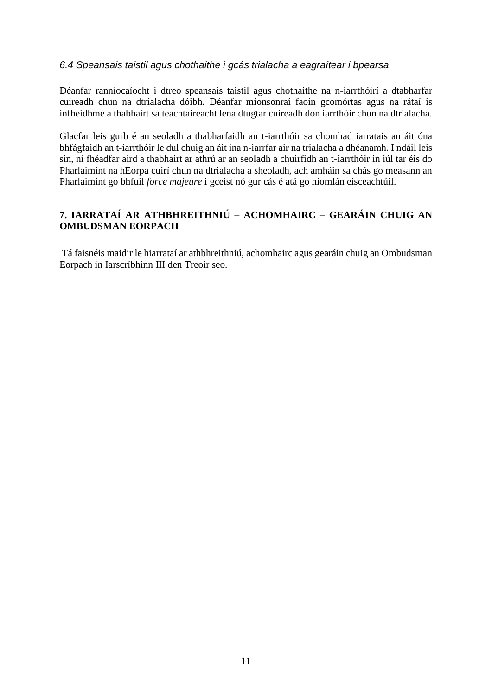#### *6.4 Speansais taistil agus chothaithe i gcás trialacha a eagraítear i bpearsa*

Déanfar ranníocaíocht i dtreo speansais taistil agus chothaithe na n-iarrthóirí a dtabharfar cuireadh chun na dtrialacha dóibh. Déanfar mionsonraí faoin gcomórtas agus na rátaí is infheidhme a thabhairt sa teachtaireacht lena dtugtar cuireadh don iarrthóir chun na dtrialacha.

Glacfar leis gurb é an seoladh a thabharfaidh an t-iarrthóir sa chomhad iarratais an áit óna bhfágfaidh an t-iarrthóir le dul chuig an áit ina n-iarrfar air na trialacha a dhéanamh. I ndáil leis sin, ní fhéadfar aird a thabhairt ar athrú ar an seoladh a chuirfidh an t-iarrthóir in iúl tar éis do Pharlaimint na hEorpa cuirí chun na dtrialacha a sheoladh, ach amháin sa chás go measann an Pharlaimint go bhfuil *force majeure* i gceist nó gur cás é atá go hiomlán eisceachtúil.

# **7. IARRATAÍ AR ATHBHREITHNIÚ – ACHOMHAIRC – GEARÁIN CHUIG AN OMBUDSMAN EORPACH**

Tá faisnéis maidir le hiarrataí ar athbhreithniú, achomhairc agus gearáin chuig an Ombudsman Eorpach in Iarscríbhinn III den Treoir seo.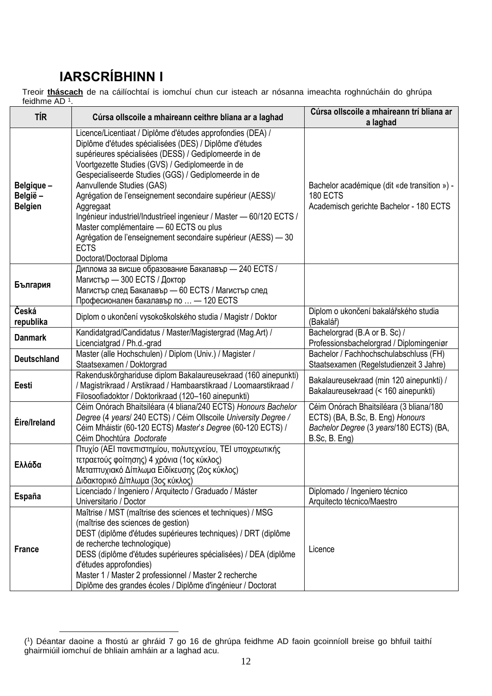# **IARSCRÍBHINN I**

Treoir **tháscach** de na cáilíochtaí is iomchuí chun cur isteach ar nósanna imeachta roghnúcháin do ghrúpa feidhme AD <sup>1</sup> .

| <b>TÍR</b>                              | Cúrsa ollscoile a mhaireann ceithre bliana ar a laghad                                                                                                                                                                                                                                                                                                                                                                                                                                                                                                                                                                           | Cúrsa ollscoile a mhaireann trí bliana ar<br>a laghad                                                                                   |
|-----------------------------------------|----------------------------------------------------------------------------------------------------------------------------------------------------------------------------------------------------------------------------------------------------------------------------------------------------------------------------------------------------------------------------------------------------------------------------------------------------------------------------------------------------------------------------------------------------------------------------------------------------------------------------------|-----------------------------------------------------------------------------------------------------------------------------------------|
| Belgique -<br>België-<br><b>Belgien</b> | Licence/Licentiaat / Diplôme d'études approfondies (DEA) /<br>Diplôme d'études spécialisées (DES) / Diplôme d'études<br>supérieures spécialisées (DESS) / Gediplomeerde in de<br>Voortgezette Studies (GVS) / Gediplomeerde in de<br>Gespecialiseerde Studies (GGS) / Gediplomeerde in de<br>Aanvullende Studies (GAS)<br>Agrégation de l'enseignement secondaire supérieur (AESS)/<br>Aggregaat<br>Ingénieur industriel/Industrieel ingenieur / Master - 60/120 ECTS /<br>Master complémentaire - 60 ECTS ou plus<br>Agrégation de l'enseignement secondaire supérieur (AESS) - 30<br><b>ECTS</b><br>Doctorat/Doctoraal Diploma | Bachelor académique (dit «de transition ») -<br>180 ECTS<br>Academisch gerichte Bachelor - 180 ECTS                                     |
| България                                | Диплома за висше образование Бакалавър - 240 ECTS /<br>Магистър — 300 ЕСТЅ / Доктор<br>Магистър след Бакалавър - 60 ECTS / Магистър след<br>Професионален бакалавър по  - 120 ECTS                                                                                                                                                                                                                                                                                                                                                                                                                                               |                                                                                                                                         |
| Česká<br>republika                      | Diplom o ukončení vysokoškolského studia / Magistr / Doktor                                                                                                                                                                                                                                                                                                                                                                                                                                                                                                                                                                      | Diplom o ukončení bakalářského studia<br>(Bakalář)                                                                                      |
| <b>Danmark</b>                          | Kandidatgrad/Candidatus / Master/Magistergrad (Mag.Art) /<br>Licenciatgrad / Ph.d.-grad                                                                                                                                                                                                                                                                                                                                                                                                                                                                                                                                          | Bachelorgrad (B.A or B. Sc) /<br>Professionsbachelorgrad / Diplomingeniør                                                               |
| <b>Deutschland</b>                      | Master (alle Hochschulen) / Diplom (Univ.) / Magister /<br>Staatsexamen / Doktorgrad                                                                                                                                                                                                                                                                                                                                                                                                                                                                                                                                             | Bachelor / Fachhochschulabschluss (FH)<br>Staatsexamen (Regelstudienzeit 3 Jahre)                                                       |
| Eesti                                   | Rakenduskõrghariduse diplom Bakalaureusekraad (160 ainepunkti)<br>/ Magistrikraad / Arstikraad / Hambaarstikraad / Loomaarstikraad /<br>Filosoofiadoktor / Doktorikraad (120-160 ainepunkti)                                                                                                                                                                                                                                                                                                                                                                                                                                     | Bakalaureusekraad (min 120 ainepunkti) /<br>Bakalaureusekraad (< 160 ainepunkti)                                                        |
| Éire/Ireland                            | Céim Onórach Bhaitsiléara (4 bliana/240 ECTS) Honours Bachelor<br>Degree (4 years/ 240 ECTS) / Céim Ollscoile University Degree /<br>Céim Mháistir (60-120 ECTS) Master's Degree (60-120 ECTS) /<br>Céim Dhochtúra Doctorate                                                                                                                                                                                                                                                                                                                                                                                                     | Céim Onórach Bhaitsiléara (3 bliana/180<br>ECTS) (BA, B.Sc, B. Eng) Honours<br>Bachelor Degree (3 years/180 ECTS) (BA,<br>B.Sc, B. Eng) |
| Ελλάδα                                  | Πτυχίο (ΑΕΙ πανεπιστημίου, πολυτεχνείου, ΤΕΙ υποχρεωτικής<br>τετραετούς φοίτησης) 4 χρόνια (1ος κύκλος)<br>Μεταπτυχιακό Δίπλωμα Ειδίκευσης (2ος κύκλος)<br>Διδακτορικό Δίπλωμα (3ος κύκλος)                                                                                                                                                                                                                                                                                                                                                                                                                                      |                                                                                                                                         |
| España                                  | Licenciado / Ingeniero / Arquitecto / Graduado / Máster<br>Universitario / Doctor                                                                                                                                                                                                                                                                                                                                                                                                                                                                                                                                                | Diplomado / Ingeniero técnico<br>Arquitecto técnico/Maestro                                                                             |
| <b>France</b>                           | Maîtrise / MST (maîtrise des sciences et techniques) / MSG<br>(maîtrise des sciences de gestion)<br>DEST (diplôme d'études supérieures techniques) / DRT (diplôme<br>de recherche technologique)<br>DESS (diplôme d'études supérieures spécialisées) / DEA (diplôme<br>d'études approfondies)<br>Master 1 / Master 2 professionnel / Master 2 recherche<br>Diplôme des grandes écoles / Diplôme d'ingénieur / Doctorat                                                                                                                                                                                                           | Licence                                                                                                                                 |

<sup>&</sup>lt;u>.</u> ( 1 ) Déantar daoine a fhostú ar ghráid 7 go 16 de ghrúpa feidhme AD faoin gcoinníoll breise go bhfuil taithí ghairmiúil iomchuí de bhliain amháin ar a laghad acu.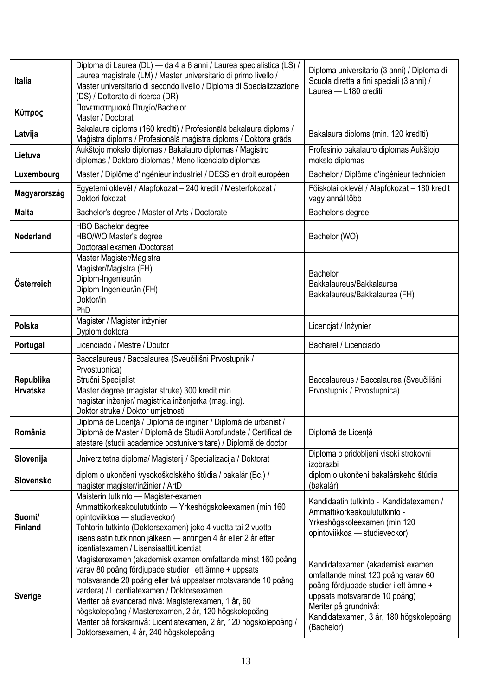| <b>Italia</b>                | Diploma di Laurea (DL) — da 4 a 6 anni / Laurea specialistica (LS) /<br>Laurea magistrale (LM) / Master universitario di primo livello /<br>Master universitario di secondo livello / Diploma di Specializzazione<br>(DS) / Dottorato di ricerca (DR)                                                                                                                                                                                                                | Diploma universitario (3 anni) / Diploma di<br>Scuola diretta a fini speciali (3 anni) /<br>Laurea - L180 crediti                                                                                                                   |
|------------------------------|----------------------------------------------------------------------------------------------------------------------------------------------------------------------------------------------------------------------------------------------------------------------------------------------------------------------------------------------------------------------------------------------------------------------------------------------------------------------|-------------------------------------------------------------------------------------------------------------------------------------------------------------------------------------------------------------------------------------|
| Κύπρος                       | Πανεπιστημιακό Πτυχίο/Bachelor<br>Master / Doctorat                                                                                                                                                                                                                                                                                                                                                                                                                  |                                                                                                                                                                                                                                     |
| Latvija                      | Bakalaura diploms (160 kredīti) / Profesionālā bakalaura diploms /<br>Maģistra diploms / Profesionālā maģistra diploms / Doktora grāds                                                                                                                                                                                                                                                                                                                               | Bakalaura diploms (min. 120 kredīti)                                                                                                                                                                                                |
| Lietuva                      | Aukštojo mokslo diplomas / Bakalauro diplomas / Magistro<br>diplomas / Daktaro diplomas / Meno licenciato diplomas                                                                                                                                                                                                                                                                                                                                                   | Profesinio bakalauro diplomas Aukštojo<br>mokslo diplomas                                                                                                                                                                           |
| Luxembourg                   | Master / Diplôme d'ingénieur industriel / DESS en droit européen                                                                                                                                                                                                                                                                                                                                                                                                     | Bachelor / Diplôme d'ingénieur technicien                                                                                                                                                                                           |
| Magyarország                 | Egyetemi oklevél / Alapfokozat - 240 kredit / Mesterfokozat /<br>Doktori fokozat                                                                                                                                                                                                                                                                                                                                                                                     | Főiskolai oklevél / Alapfokozat – 180 kredit<br>vagy annál több                                                                                                                                                                     |
| <b>Malta</b>                 | Bachelor's degree / Master of Arts / Doctorate                                                                                                                                                                                                                                                                                                                                                                                                                       | Bachelor's degree                                                                                                                                                                                                                   |
| <b>Nederland</b>             | <b>HBO Bachelor degree</b><br>HBO/WO Master's degree<br>Doctoraal examen /Doctoraat                                                                                                                                                                                                                                                                                                                                                                                  | Bachelor (WO)                                                                                                                                                                                                                       |
| Österreich                   | Master Magister/Magistra<br>Magister/Magistra (FH)<br>Diplom-Ingenieur/in<br>Diplom-Ingenieur/in (FH)<br>Doktor/in<br>PhD                                                                                                                                                                                                                                                                                                                                            | <b>Bachelor</b><br>Bakkalaureus/Bakkalaurea<br>Bakkalaureus/Bakkalaurea (FH)                                                                                                                                                        |
| Polska                       | Magister / Magister inżynier<br>Dyplom doktora                                                                                                                                                                                                                                                                                                                                                                                                                       | Licencjat / Inżynier                                                                                                                                                                                                                |
| Portugal                     | Licenciado / Mestre / Doutor                                                                                                                                                                                                                                                                                                                                                                                                                                         | Bacharel / Licenciado                                                                                                                                                                                                               |
| Republika<br><b>Hrvatska</b> | Baccalaureus / Baccalaurea (Sveučilišni Prvostupnik /<br>Prvostupnica)<br>Stručni Specijalist<br>Master degree (magistar struke) 300 kredit min<br>magistar inženjer/ magistrica inženjerka (mag. ing).<br>Doktor struke / Doktor umjetnosti                                                                                                                                                                                                                         | Baccalaureus / Baccalaurea (Sveučilišni<br>Prvostupnik / Prvostupnica)                                                                                                                                                              |
| România                      | Diplomă de Licență / Diplomă de inginer / Diplomă de urbanist /<br>Diplomă de Master / Diplomă de Studii Aprofundate / Certificat de<br>atestare (studii academice postuniversitare) / Diplomă de doctor                                                                                                                                                                                                                                                             | Diplomă de Licență                                                                                                                                                                                                                  |
| Slovenija                    | Univerzitetna diploma/ Magisterij / Specializacija / Doktorat                                                                                                                                                                                                                                                                                                                                                                                                        | Diploma o pridobljeni visoki strokovni<br>izobrazbi                                                                                                                                                                                 |
| Slovensko                    | diplom o ukončení vysokoškolského štúdia / bakalár (Bc.) /<br>magister magister/inžinier / ArtD                                                                                                                                                                                                                                                                                                                                                                      | diplom o ukončení bakalárskeho štúdia<br>(bakalár)                                                                                                                                                                                  |
| Suomi/<br><b>Finland</b>     | Maisterin tutkinto - Magister-examen<br>Ammattikorkeakoulututkinto - Yrkeshögskoleexamen (min 160<br>opintoviikkoa - studieveckor)<br>Tohtorin tutkinto (Doktorsexamen) joko 4 vuotta tai 2 vuotta<br>lisensiaatin tutkinnon jälkeen — antingen 4 år eller 2 år efter<br>licentiatexamen / Lisensiaatti/Licentiat                                                                                                                                                    | Kandidaatin tutkinto - Kandidatexamen /<br>Ammattikorkeakoulututkinto -<br>Yrkeshögskoleexamen (min 120<br>opintoviikkoa - studieveckor)                                                                                            |
| <b>Sverige</b>               | Magisterexamen (akademisk examen omfattande minst 160 poäng<br>varav 80 poäng fördjupade studier i ett ämne + uppsats<br>motsvarande 20 poäng eller två uppsatser motsvarande 10 poäng<br>vardera) / Licentiatexamen / Doktorsexamen<br>Meriter på avancerad nivå: Magisterexamen, 1 år, 60<br>högskolepoäng / Masterexamen, 2 år, 120 högskolepoäng<br>Meriter på forskarnivå: Licentiatexamen, 2 år, 120 högskolepoäng /<br>Doktorsexamen, 4 år, 240 högskolepoäng | Kandidatexamen (akademisk examen<br>omfattande minst 120 poäng varav 60<br>poäng fördjupade studier i ett ämne +<br>uppsats motsvarande 10 poäng)<br>Meriter på grundnivå:<br>Kandidatexamen, 3 år, 180 högskolepoäng<br>(Bachelor) |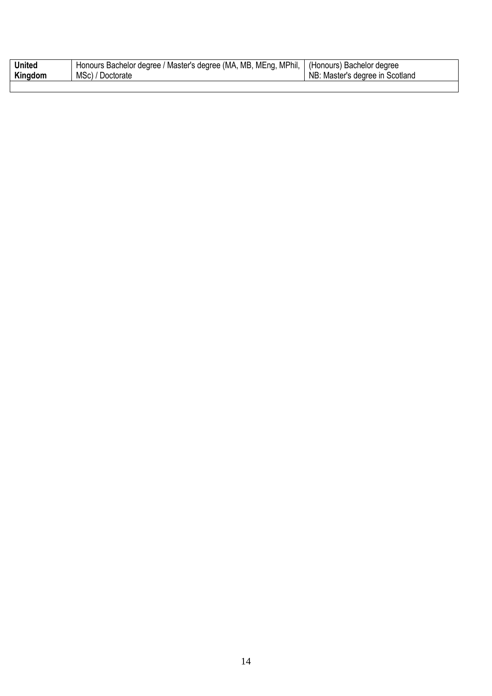| <b>United</b> | Honours Bachelor degree / Master's degree (MA, MB, MEng, MPhil,   (Honours) Bachelor degree |                                 |
|---------------|---------------------------------------------------------------------------------------------|---------------------------------|
| Kingdom       | MSc) / Doctorate                                                                            | NB: Master's degree in Scotland |
|               |                                                                                             |                                 |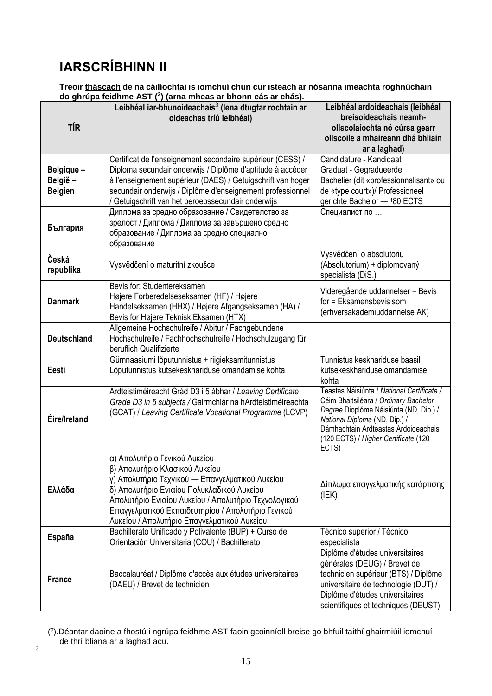# **IARSCRÍBHINN II**

3

**Treoir tháscach de na cáilíochtaí is iomchuí chun cur isteach ar nósanna imeachta roghnúcháin do ghrúpa feidhme AST (<sup>2</sup> ) (arna mheas ar bhonn cás ar chás).**

|                                         | do gnrupa ielumne AST (") (arna inneas ar bhonn cas ar chas).                                                                                                                                                                                                                                                                 |                                                                                                                                                                                                                                                         |
|-----------------------------------------|-------------------------------------------------------------------------------------------------------------------------------------------------------------------------------------------------------------------------------------------------------------------------------------------------------------------------------|---------------------------------------------------------------------------------------------------------------------------------------------------------------------------------------------------------------------------------------------------------|
| <b>TÍR</b>                              | Leibhéal iar-bhunoideachais <sup>3</sup> (lena dtugtar rochtain ar<br>oideachas tríú leibhéal)                                                                                                                                                                                                                                | Leibhéal ardoideachais (leibhéal<br>breisoideachais neamh-<br>ollscolaíochta nó cúrsa gearr<br>ollscoile a mhaireann dhá bhliain<br>ar a laghad)                                                                                                        |
| Belgique -<br>België-<br><b>Belgien</b> | Certificat de l'enseignement secondaire supérieur (CESS) /<br>Diploma secundair onderwijs / Diplôme d'aptitude à accéder<br>à l'enseignement supérieur (DAES) / Getuigschrift van hoger<br>secundair onderwijs / Diplôme d'enseignement professionnel<br>/ Getuigschrift van het beroepssecundair onderwijs                   | Candidature - Kandidaat<br>Graduat - Gegradueerde<br>Bachelier (dit «professionnalisant» ou<br>de «type court»)/ Professioneel<br>gerichte Bachelor - 180 ECTS                                                                                          |
| България                                | Диплома за средно образование / Свидетелство за<br>зрелост / Диплома / Диплома за завършено средно<br>образование / Диплома за средно специално<br>образование                                                                                                                                                                | Специалист по                                                                                                                                                                                                                                           |
| Česká<br>republika                      | Vysvědčení o maturitní zkoušce                                                                                                                                                                                                                                                                                                | Vysvědčení o absolutoriu<br>(Absolutorium) + diplomovaný<br>specialista (DiS.)                                                                                                                                                                          |
| <b>Danmark</b>                          | Bevis for: Studentereksamen<br>Højere Forberedelseseksamen (HF) / Højere<br>Handelseksamen (HHX) / Højere Afgangseksamen (HA) /<br>Bevis for Højere Teknisk Eksamen (HTX)                                                                                                                                                     | Videregående uddannelser = Bevis<br>for = Eksamensbevis som<br>(erhversakademiuddannelse AK)                                                                                                                                                            |
| <b>Deutschland</b>                      | Allgemeine Hochschulreife / Abitur / Fachgebundene<br>Hochschulreife / Fachhochschulreife / Hochschulzugang für<br>beruflich Qualifizierte                                                                                                                                                                                    |                                                                                                                                                                                                                                                         |
| <b>Eesti</b>                            | Gümnaasiumi lõputunnistus + riigieksamitunnistus<br>Lõputunnistus kutsekeskhariduse omandamise kohta                                                                                                                                                                                                                          | Tunnistus keskhariduse baasil<br>kutsekeskhariduse omandamise<br>kohta                                                                                                                                                                                  |
| Éire/Ireland                            | Ardteistiméireacht Grád D3 i 5 ábhar / Leaving Certificate<br>Grade D3 in 5 subjects / Gairmchlár na hArdteistiméireachta<br>(GCAT) / Leaving Certificate Vocational Programme (LCVP)                                                                                                                                         | Teastas Náisiúnta / National Certificate /<br>Céim Bhaitsiléara / Ordinary Bachelor<br>Degree Dioplóma Náisiúnta (ND, Dip.) /<br>National Diploma (ND, Dip.) /<br>Dámhachtain Ardteastas Ardoideachais<br>(120 ECTS) / Higher Certificate (120<br>ECTS) |
| Ελλάδα                                  | α) Απολυτήριο Γενικού Λυκείου<br>β) Απολυτήριο Κλασικού Λυκείου<br>γ) Απολυτήριο Τεχνικού - Επαγγελματικού Λυκείου<br>δ) Απολυτήριο Ενιαίου Πολυκλαδικού Λυκείου<br>Απολυτήριο Ενιαίου Λυκείου / Απολυτήριο Τεχνολογικού<br>Επαγγελματικού Εκπαιδευτηρίου / Απολυτήριο Γενικού<br>Λυκείου / Απολυτήριο Επαγγελματικού Λυκείου | Δίπλωμα επαγγελματικής κατάρτισης<br>(IEK)                                                                                                                                                                                                              |
| <b>España</b>                           | Bachillerato Unificado y Polivalente (BUP) + Curso de<br>Orientación Universitaria (COU) / Bachillerato                                                                                                                                                                                                                       | Técnico superior / Técnico<br>especialista                                                                                                                                                                                                              |
| <b>France</b>                           | Baccalauréat / Diplôme d'accès aux études universitaires<br>(DAEU) / Brevet de technicien                                                                                                                                                                                                                                     | Diplôme d'études universitaires<br>générales (DEUG) / Brevet de<br>technicien supérieur (BTS) / Diplôme<br>universitaire de technologie (DUT) /<br>Diplôme d'études universitaires<br>scientifiques et techniques (DEUST)                               |

<sup>1</sup> ( 2 ).Déantar daoine a fhostú i ngrúpa feidhme AST faoin gcoinníoll breise go bhfuil taithí ghairmiúil iomchuí de thrí bliana ar a laghad acu.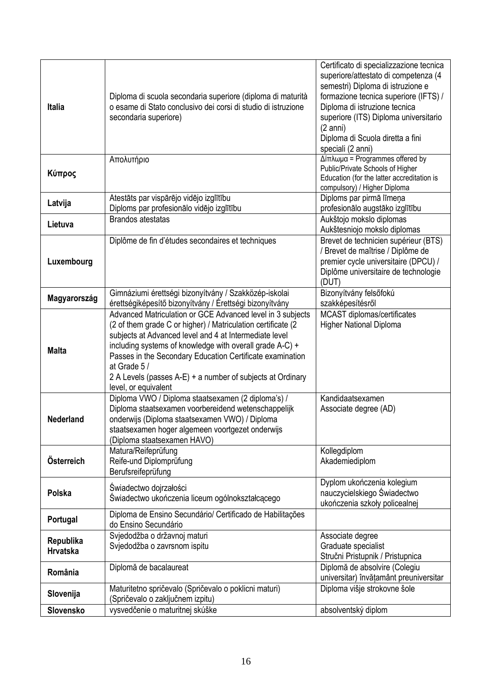| <b>Italia</b>                | Diploma di scuola secondaria superiore (diploma di maturità<br>o esame di Stato conclusivo dei corsi di studio di istruzione<br>secondaria superiore)                                                                                                                                                                                                                                                               | Certificato di specializzazione tecnica<br>superiore/attestato di competenza (4<br>semestri) Diploma di istruzione e<br>formazione tecnica superiore (IFTS) /<br>Diploma di istruzione tecnica<br>superiore (ITS) Diploma universitario<br>$(2 \text{ anni})$<br>Diploma di Scuola diretta a fini<br>speciali (2 anni) |
|------------------------------|---------------------------------------------------------------------------------------------------------------------------------------------------------------------------------------------------------------------------------------------------------------------------------------------------------------------------------------------------------------------------------------------------------------------|------------------------------------------------------------------------------------------------------------------------------------------------------------------------------------------------------------------------------------------------------------------------------------------------------------------------|
| Κύπρος                       | Απολυτήριο                                                                                                                                                                                                                                                                                                                                                                                                          | $Δíπλωμα = Programmes offered by$<br>Public/Private Schools of Higher<br>Education (for the latter accreditation is<br>compulsory) / Higher Diploma                                                                                                                                                                    |
| Latvija                      | Atestāts par vispārējo vidējo izglītību<br>Diploms par profesionālo vidējo izglītību                                                                                                                                                                                                                                                                                                                                | Diploms par pirmā līmeņa<br>profesionālo augstāko izglītību                                                                                                                                                                                                                                                            |
| Lietuva                      | <b>Brandos atestatas</b>                                                                                                                                                                                                                                                                                                                                                                                            | Aukštojo mokslo diplomas<br>Aukštesniojo mokslo diplomas                                                                                                                                                                                                                                                               |
| Luxembourg                   | Diplôme de fin d'études secondaires et techniques                                                                                                                                                                                                                                                                                                                                                                   | Brevet de technicien supérieur (BTS)<br>/ Brevet de maîtrise / Diplôme de<br>premier cycle universitaire (DPCU) /<br>Diplôme universitaire de technologie<br>(DUT)                                                                                                                                                     |
| Magyarország                 | Gimnáziumi érettségi bizonyítvány / Szakközép-iskolai<br>érettségiképesítő bizonyítvány / Érettségi bizonyítvány                                                                                                                                                                                                                                                                                                    | Bizonyítvány felsőfokú<br>szakképesítésről                                                                                                                                                                                                                                                                             |
| <b>Malta</b>                 | Advanced Matriculation or GCE Advanced level in 3 subjects<br>(2 of them grade C or higher) / Matriculation certificate (2<br>subjects at Advanced level and 4 at Intermediate level<br>including systems of knowledge with overall grade A-C) +<br>Passes in the Secondary Education Certificate examination<br>at Grade 5 /<br>2 A Levels (passes A-E) + a number of subjects at Ordinary<br>level, or equivalent | MCAST diplomas/certificates<br><b>Higher National Diploma</b>                                                                                                                                                                                                                                                          |
| <b>Nederland</b>             | Diploma VWO / Diploma staatsexamen (2 diploma's) /<br>Diploma staatsexamen voorbereidend wetenschappelijk<br>onderwijs (Diploma staatsexamen VWO) / Diploma<br>staatsexamen hoger algemeen voortgezet onderwijs<br>(Diploma staatsexamen HAVO)                                                                                                                                                                      | Kandidaatsexamen<br>Associate degree (AD)                                                                                                                                                                                                                                                                              |
| Österreich                   | Matura/Reifeprüfung<br>Reife-und Diplomprüfung<br>Berufsreifeprüfung                                                                                                                                                                                                                                                                                                                                                | Kollegdiplom<br>Akademiediplom                                                                                                                                                                                                                                                                                         |
| Polska                       | Świadectwo dojrzałości<br>Świadectwo ukończenia liceum ogólnokształcącego                                                                                                                                                                                                                                                                                                                                           | Dyplom ukończenia kolegium<br>nauczycielskiego Świadectwo<br>ukończenia szkoły policealnej                                                                                                                                                                                                                             |
| Portugal                     | Diploma de Ensino Secundário/ Certificado de Habilitacões<br>do Ensino Secundário                                                                                                                                                                                                                                                                                                                                   |                                                                                                                                                                                                                                                                                                                        |
| Republika<br><b>Hrvatska</b> | Svjedodžba o državnoj maturi<br>Svjedodžba o zavrsnom ispitu                                                                                                                                                                                                                                                                                                                                                        | Associate degree<br>Graduate specialist<br>Stručni Pristupnik / Pristupnica                                                                                                                                                                                                                                            |
| România                      | Diplomă de bacalaureat                                                                                                                                                                                                                                                                                                                                                                                              | Diplomă de absolvire (Colegiu<br>universitar) învățamânt preuniversitar                                                                                                                                                                                                                                                |
| Slovenija                    | Maturitetno spričevalo (Spričevalo o poklicni maturi)<br>(Spričevalo o zaključnem izpitu)                                                                                                                                                                                                                                                                                                                           | Diploma višje strokovne šole                                                                                                                                                                                                                                                                                           |
| Slovensko                    | vysvedčenie o maturitnej skúške                                                                                                                                                                                                                                                                                                                                                                                     | absolventský diplom                                                                                                                                                                                                                                                                                                    |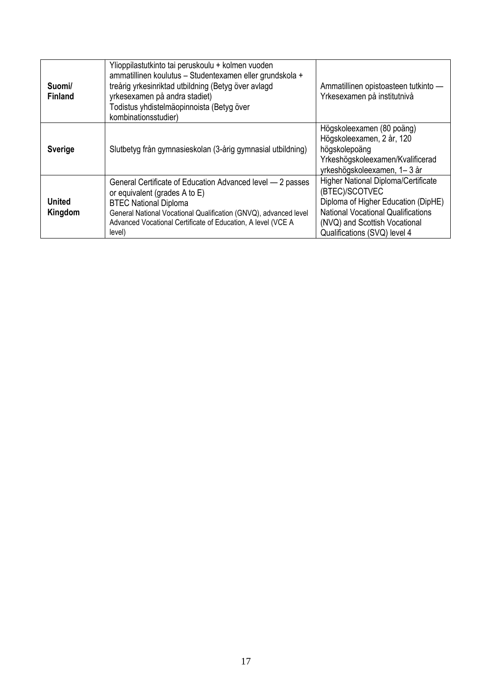| Suomi/<br><b>Finland</b> | Ylioppilastutkinto tai peruskoulu + kolmen vuoden<br>ammatillinen koulutus - Studentexamen eller grundskola +<br>treårig yrkesinriktad utbildning (Betyg över avlagd<br>yrkesexamen på andra stadiet)<br>Todistus yhdistelmäopinnoista (Betyg över<br>kombinationsstudier) | Ammatillinen opistoasteen tutkinto -<br>Yrkesexamen på institutnivå                                                                                                                                               |
|--------------------------|----------------------------------------------------------------------------------------------------------------------------------------------------------------------------------------------------------------------------------------------------------------------------|-------------------------------------------------------------------------------------------------------------------------------------------------------------------------------------------------------------------|
| <b>Sverige</b>           | Slutbetyg från gymnasieskolan (3-årig gymnasial utbildning)                                                                                                                                                                                                                | Högskoleexamen (80 poäng)<br>Högskoleexamen, 2 år, 120<br>högskolepoäng<br>Yrkeshögskoleexamen/Kvalificerad<br>yrkeshögskoleexamen, 1-3 år                                                                        |
| United<br>Kingdom        | General Certificate of Education Advanced level - 2 passes<br>or equivalent (grades A to E)<br><b>BTEC National Diploma</b><br>General National Vocational Qualification (GNVQ), advanced level<br>Advanced Vocational Certificate of Education, A level (VCE A<br>level)  | <b>Higher National Diploma/Certificate</b><br>(BTEC)/SCOTVEC<br>Diploma of Higher Education (DipHE)<br><b>National Vocational Qualifications</b><br>(NVQ) and Scottish Vocational<br>Qualifications (SVQ) level 4 |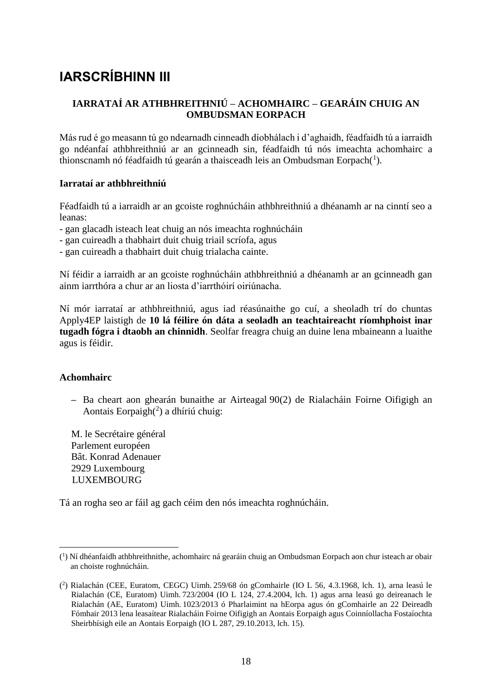# **IARSCRÍBHINN III**

# **IARRATAÍ AR ATHBHREITHNIÚ – ACHOMHAIRC – GEARÁIN CHUIG AN OMBUDSMAN EORPACH**

Más rud é go measann tú go ndearnadh cinneadh díobhálach i d'aghaidh, féadfaidh tú a iarraidh go ndéanfaí athbhreithniú ar an gcinneadh sin, féadfaidh tú nós imeachta achomhairc a thionscnamh nó féadfaidh tú gearán a thaisceadh leis an Ombudsman Eorpach $(1)$ .

#### **Iarrataí ar athbhreithniú**

Féadfaidh tú a iarraidh ar an gcoiste roghnúcháin athbhreithniú a dhéanamh ar na cinntí seo a leanas:

- gan glacadh isteach leat chuig an nós imeachta roghnúcháin
- gan cuireadh a thabhairt duit chuig triail scríofa, agus
- gan cuireadh a thabhairt duit chuig trialacha cainte.

Ní féidir a iarraidh ar an gcoiste roghnúcháin athbhreithniú a dhéanamh ar an gcinneadh gan ainm iarrthóra a chur ar an liosta d'iarrthóirí oiriúnacha.

Ní mór iarrataí ar athbhreithniú, agus iad réasúnaithe go cuí, a sheoladh trí do chuntas Apply4EP laistigh de **10 lá féilire ón dáta a seoladh an teachtaireacht ríomhphoist inar tugadh fógra i dtaobh an chinnidh**. Seolfar freagra chuig an duine lena mbaineann a luaithe agus is féidir.

#### **Achomhairc**

<u>.</u>

**–** Ba cheart aon ghearán bunaithe ar Airteagal 90(2) de Rialacháin Foirne Oifigigh an Aontais Eorpaigh $(2)$  a dhíriú chuig:

M. le Secrétaire général Parlement européen Bât. Konrad Adenauer 2929 Luxembourg **LUXEMBOURG** 

Tá an rogha seo ar fáil ag gach céim den nós imeachta roghnúcháin.

<sup>(</sup> 1 ) Ní dhéanfaidh athbhreithnithe, achomhairc ná gearáin chuig an Ombudsman Eorpach aon chur isteach ar obair an choiste roghnúcháin.

<sup>(</sup> 2 ) Rialachán (CEE, Euratom, CEGC) Uimh. 259/68 ón gComhairle (IO L 56, 4.3.1968, lch. 1), arna leasú le Rialachán (CE, Euratom) Uimh. 723/2004 (IO L 124, 27.4.2004, lch. 1) agus arna leasú go deireanach le Rialachán (AE, Euratom) Uimh. 1023/2013 ó Pharlaimint na hEorpa agus ón gComhairle an 22 Deireadh Fómhair 2013 lena leasaítear Rialacháin Foirne Oifigigh an Aontais Eorpaigh agus Coinníollacha Fostaíochta Sheirbhísigh eile an Aontais Eorpaigh (IO L 287, 29.10.2013, lch. 15).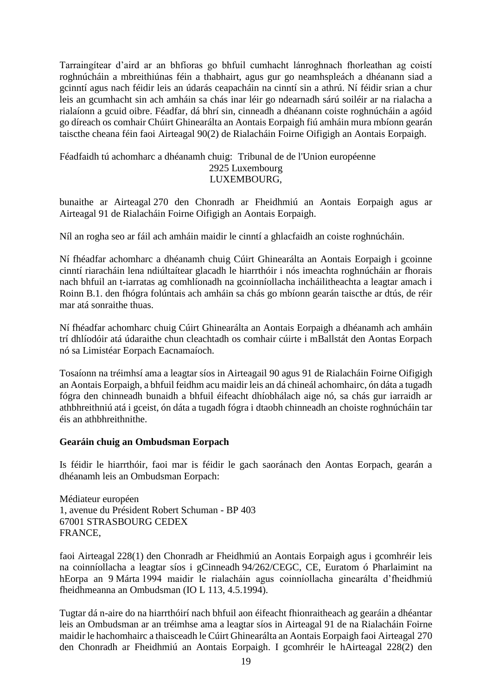Tarraingítear d'aird ar an bhfíoras go bhfuil cumhacht lánroghnach fhorleathan ag coistí roghnúcháin a mbreithiúnas féin a thabhairt, agus gur go neamhspleách a dhéanann siad a gcinntí agus nach féidir leis an údarás ceapacháin na cinntí sin a athrú. Ní féidir srian a chur leis an gcumhacht sin ach amháin sa chás inar léir go ndearnadh sárú soiléir ar na rialacha a rialaíonn a gcuid oibre. Féadfar, dá bhrí sin, cinneadh a dhéanann coiste roghnúcháin a agóid go díreach os comhair Chúirt Ghinearálta an Aontais Eorpaigh fiú amháin mura mbíonn gearán taiscthe cheana féin faoi Airteagal 90(2) de Rialacháin Foirne Oifigigh an Aontais Eorpaigh.

#### Féadfaidh tú achomharc a dhéanamh chuig: Tribunal de de l'Union européenne 2925 Luxembourg LUXEMBOURG,

bunaithe ar Airteagal 270 den Chonradh ar Fheidhmiú an Aontais Eorpaigh agus ar Airteagal 91 de Rialacháin Foirne Oifigigh an Aontais Eorpaigh.

Níl an rogha seo ar fáil ach amháin maidir le cinntí a ghlacfaidh an coiste roghnúcháin.

Ní fhéadfar achomharc a dhéanamh chuig Cúirt Ghinearálta an Aontais Eorpaigh i gcoinne cinntí riaracháin lena ndiúltaítear glacadh le hiarrthóir i nós imeachta roghnúcháin ar fhorais nach bhfuil an t-iarratas ag comhlíonadh na gcoinníollacha incháilitheachta a leagtar amach i Roinn B.1. den fhógra folúntais ach amháin sa chás go mbíonn gearán taiscthe ar dtús, de réir mar atá sonraithe thuas.

Ní fhéadfar achomharc chuig Cúirt Ghinearálta an Aontais Eorpaigh a dhéanamh ach amháin trí dhlíodóir atá údaraithe chun cleachtadh os comhair cúirte i mBallstát den Aontas Eorpach nó sa Limistéar Eorpach Eacnamaíoch.

Tosaíonn na tréimhsí ama a leagtar síos in Airteagail 90 agus 91 de Rialacháin Foirne Oifigigh an Aontais Eorpaigh, a bhfuil feidhm acu maidir leis an dá chineál achomhairc, ón dáta a tugadh fógra den chinneadh bunaidh a bhfuil éifeacht dhíobhálach aige nó, sa chás gur iarraidh ar athbhreithniú atá i gceist, ón dáta a tugadh fógra i dtaobh chinneadh an choiste roghnúcháin tar éis an athbhreithnithe.

#### **Gearáin chuig an Ombudsman Eorpach**

Is féidir le hiarrthóir, faoi mar is féidir le gach saoránach den Aontas Eorpach, gearán a dhéanamh leis an Ombudsman Eorpach:

Médiateur européen 1, avenue du Président Robert Schuman - BP 403 67001 STRASBOURG CEDEX FRANCE,

faoi Airteagal 228(1) den Chonradh ar Fheidhmiú an Aontais Eorpaigh agus i gcomhréir leis na coinníollacha a leagtar síos i gCinneadh 94/262/CEGC, CE, Euratom ó Pharlaimint na hEorpa an 9 Márta 1994 maidir le rialacháin agus coinníollacha ginearálta d'fheidhmiú fheidhmeanna an Ombudsman (IO L 113, 4.5.1994).

Tugtar dá n-aire do na hiarrthóirí nach bhfuil aon éifeacht fhionraitheach ag gearáin a dhéantar leis an Ombudsman ar an tréimhse ama a leagtar síos in Airteagal 91 de na Rialacháin Foirne maidir le hachomhairc a thaisceadh le Cúirt Ghinearálta an Aontais Eorpaigh faoi Airteagal 270 den Chonradh ar Fheidhmiú an Aontais Eorpaigh. I gcomhréir le hAirteagal 228(2) den